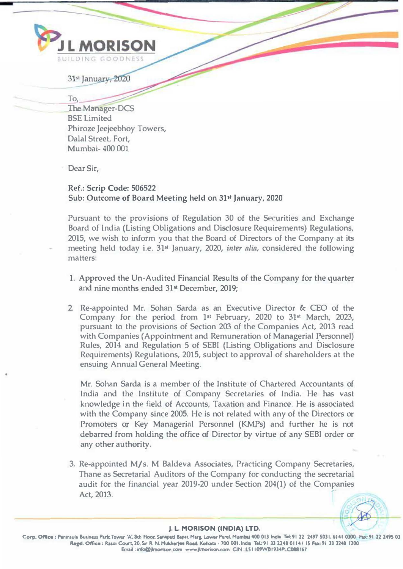

31st January, 2020

.The Manager-DCS BSE Limited Phiroze Jeejeebhoy Towers, Dalal Street, Fort, Mumbai- 400 001

Dear Sir,

To.

Ref.: Scrip Code: 506522 Sub: Outcome of Board Meeting held on 31" January, 2020

Pursuant to the provisions of Regulation 30 of the Securities and Exchange Board of India (Listing Obligations and Disclosure Requirements) Regulations, 2015, we wish to inform you that the Board of Directors of the Company at its meeting held today i.e. 31<sup>st</sup> January, 2020, *inter alia*, considered the following matters:

- 1. Approved the Un-Audited Financial Results of the Company for the quarter and nine months ended 31**st** December, 2019;
- 2. Re-appointed Mr. Sohan Sarda as an Executive Director & CEO of the Company for the period from  $1st$  February, 2020 to  $31st$  March, 2023, pursuant to the provisions of Section 203 of the Companies Act, 2013 read with Companies (Appointment and Remuneration of Managerial Personnel) Rules, 2014 and Regulation 5 of SEBI (Listing Obligations and Disclosure Requirements) Regulations, 2015, subject to approval of shareholders at the ensuing Annual General Meeting.

Mr. Sohan Sarda is a member of the Institute of Chartered Accountants of India and the Institute of Company Secretaries of India. He has vast knowledge in the field of Accounts, Taxation and Finance. He is associated with the Company since 2005. He is not related with any of the Directors or Promoters or Key Managerial Personnel (KMPs) and further he is not debarred from holding the office of Director by virtue of any SEBI order or any other authority.

3. Re-appointed M/s. M Baldeva Associates, Practicing Company Secretaries, Thane as Secretarial Auditors of the Company for conducting the secretarial audit for the financial year 2019-20 under Section 204(1) of the Companies Act, 2013.

## **J. L. MORISON (INDIA) LTD.**

Corp. Office : Peninsula Business Park Tower 'A', Sub Floor, Senapad Bapat Marg, Lower Parel, Mumbol 400 013 India Tel: 91 22 2497 5031, 6141 0300 Fax: 91 22 2495 03 Regd. Office: Rasoi Court, 20, Sir R. N. Mulcherjee Road, Kolkata - 700 001. India Tel.:91 33 2248 0114 / 15 Fax:91 33 2248 1200 Email : info@jlmontson.com www.jlmonison.com CIN : L51 109WB1934PLC088167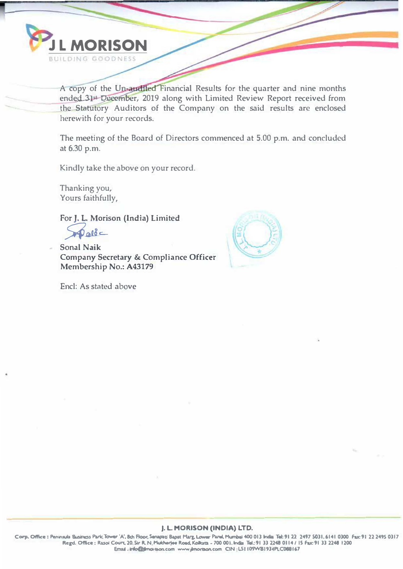

A copy of the Un-audited Financial Results for the quarter and nine months ended 31st Deember, 2019 along with Limited Review Report received from the Statutory Auditors of the Company on the said results are enclosed herewith for your records.

The meeting of the Board of Directors commenced at 5.00 p.m. and concluded at 6.30 p.m.

Kindly take the above on your record.

Thanking you, Yours faithfully,

For J. L. Morison (India) Limited

 $abc$ 

**Sonal Naik Company Secretary & Compliance Officer** Membership No.: A43179

Encl: As stated above



## J. L. MORISON (INDIA) LTD.

Corp. Office: Peninsula Business Park Tower 'A', 8th Roor, Senagan Bapat Mary, Lower Parel, Mumbel 400 013 India Tel: 91 22 2497 5031, 6141 0300 Fax: 91 22 2495 0317 Regd. Office: Rasol Court, 20. Sir R. N. Multherjee Road, Kolkata - 700 001, India Tel.: 91 33 2248 0114 / 15 Fax: 91 33 2248 1200 Email: irdo@jimortson.com www.jimortson.com CIN:L51109WB1934PLC088167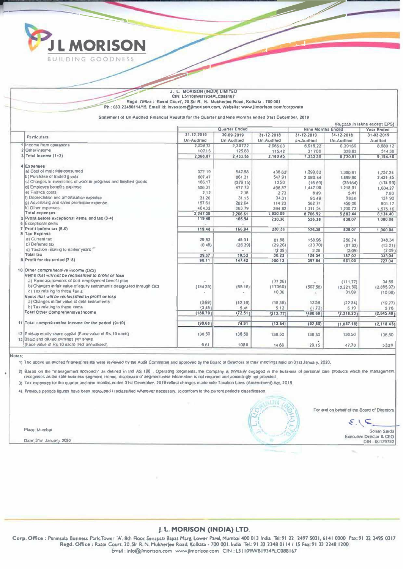

#### J. L. MORISON (INDIA) LIMITED CIN: L51109WB1934PLC088167 Regd. Office : 'Rasol Court', 20 Sir R. N. Mukherjee Road, Kolkata - 700 001 Ph: 033 22480114/15, Email Id: Investors@jlmorison.com, Website: www.jlmorison.com/corporate

Statement of Un-Audited Financial Results for the Quarter and Nine Months ended 31st December, 2019

|                                                                       | (Rupees in lakhs except EPS) |                  |                 |                                        |                   |             |
|-----------------------------------------------------------------------|------------------------------|------------------|-----------------|----------------------------------------|-------------------|-------------|
|                                                                       |                              | Quarter Ended    |                 | <b>Nine Months Ended</b><br>Year Ended |                   |             |
| <b>Particulars</b>                                                    | 31-12-2019                   | $30.09 - 2019$   | 31-12-2018      | 31-12-2019                             | 31-12-2018        | 31-03-2019  |
|                                                                       | <b>Un-Audited</b>            | Un-Audited       | Un-Audited      | Un-Audited                             | <b>Un-Audited</b> | Audited     |
| 1 Income from operations                                              | 2,259.72                     | 2,30772          | 2.065.03        | 6.916.22                               | 6.39169           | 8.680.12    |
| 2 Olher in nome                                                       | 10715                        | 125.83           | 115.42          | 31706                                  | 328 82            | 514.36      |
| 3 Total Income (1+2)                                                  | 2,366,87                     | 2,433.55         | 2,180.45        | 7,233.30                               | 8.720.51          | 9,194.48    |
| 4 Expenses                                                            |                              |                  |                 |                                        |                   |             |
| a) Cosl of materials consumed                                         | 372.19                       | 547.58           | 436.62          | 1,299.82                               | 1,360.81          | 1,757.24    |
| b) Purchase of Iraded goods                                           | 607.47                       | 661.31           | 547.91          | 2.080.44                               | 1,899.80          | 2.431.45    |
| c) Changes in inventories of work-in-progress and finished goods      | 166.17                       | (279.15)         | 1250            | (16.69)                                | (35164)           | (174.59)    |
| d) Employee bettefits expense                                         | 506.31                       | 477.73           | 406.87          | 1,447,09                               | 1,218.91          | 1,604.27    |
| e) Finance costs                                                      | 2.12                         | 2.16             | 2.73            | 8.49                                   | 5.41              | 7.80        |
| n Depreciation and amortisation experise                              | 31.20                        | 31.15            | 34:31           | 95.49                                  | 9836              | 131.90      |
| g) Advertising and sales promotion expense                            | 157.61                       | 262 04           | 114 23          | 582 74                                 | 450.06            | 801.17      |
| h) Other expenses                                                     | 40432                        | 363.79           | 394 92          | 1,211.54                               | 1,200.73          | 1,575.16    |
| <b>Total expenses</b>                                                 | 2,247.39                     | 2,266.61         | 1,950,09        | 6.706.92                               | 5,882,44          | 3,134.40    |
| 5 Profit before exceptional items and tax (3-4)                       | 119.46                       | 166.94           | 230,36          | 526.38                                 | 838.07            | 1,080.08    |
| 6 Exceptional kems                                                    |                              |                  |                 |                                        |                   |             |
| 7  Profit before tax (5-6)                                            | 119,48                       | 166.94           | 230.36          | 526,38                                 | 838.07            | 1.060.08    |
| 8 Tax Expense                                                         |                              |                  |                 |                                        |                   |             |
| a) Current tax                                                        | 29.82                        | 45.91            | 61 58           | \$58.96                                | 256.74            | 348.34      |
| b) Deferred tax                                                       | (0.45)                       | (26.39)          | (29.26)         | (33.70)                                | (67.63)           | (13.21)     |
| c) Taxalion relating to earlier years                                 |                              | $\hskip 1.0cm =$ | (2.09)          | 3 2 8                                  | (2.09)            | (2.09)      |
| <b>Total tax</b>                                                      | 29.37                        | 19.52            | 30.23           | 128.54                                 | 187.02            | 333.04      |
| 9 Profit for the period (7-8)                                         | 90.11                        | 147.42           | 200.13          | 397.84                                 | 651,05            | 727.04      |
| 10 Other comprehensive income (OC1)                                   |                              |                  |                 |                                        |                   |             |
| Items that will not be reclassified to profit or foss                 |                              |                  |                 |                                        |                   |             |
| a) Reme asurements of post-employment benefit plan                    |                              |                  | (37.26)         |                                        | (111,77)          | 34.55       |
| b) Changes in fair value of equity instruments designated through OCI | (184.35)                     | (65.16)          | (17360)         | (502.56)                               | (2.221.50)        | (2.855.97)  |
| c) Tax relating to these items                                        |                              | ÷                | 10.36           |                                        | 31.09             | (10.06)     |
| Items that will be reclassified to profit or loss                     |                              |                  |                 | ÷.                                     |                   |             |
| a) Changes in fair value of debt instruments                          | (0.99)                       | (12.76)          |                 | 1359                                   |                   |             |
| b) Tax relating to these items                                        | (3.45)                       | 5.41             | (18.39)<br>5.12 |                                        | (22.24)<br>6.19   | (19.77)     |
| Total Other Comprehensive Income                                      | (188.79)                     |                  |                 | (1.72)                                 |                   | 5.76        |
|                                                                       |                              | (72.51)          | (213, 77)       | (490.69)                               | (2,318.23)        | (2.845.49)  |
| 11 Total comprehensive income for the period (9+10)                   | (98.68)                      | 74,91            | (13.64)         | (92.85)                                | (1.687.18)        | (2, 118.45) |
| 12 Paid-up equily share capital (Face value of Rs. 10 each)           | 136.50                       | 136.50           | 136.50          | 136.50                                 | 136.50            | 136.50      |
| 13 Basic and diluted cornings per share                               |                              |                  |                 |                                        |                   |             |
| (Face value of Rs 10 each) (Nol annualised).                          | 6.61                         | 1080             | 14.66           | 29.15                                  | 47.70             | 5326        |

Notes

1) The above un-audited financial results were reviewed by the Audit Committee and approved by the Board of Directors si their meetings held on 31st January, 2020.

2) Basod on the "management approach" as delined in Ind AS 108 - Operating Segments, the Company is primarily engaged in the business of personal care products which the management recognises as the sole business segment. Henee, disclosure of segment wise information is not required and accordingly not provided.

3) Tax expenses for the quarter and nme months ended 31st December, 2019 reflect charges made vide Taxation Laws (Amendment) Act, 2019

4) Previous periods ligures have been regrouped I reclassified wherever necessary, to conform to the current period's classification

Place: Mumbai

Date: 31st January, 2020



For and on behalf of the Board of Directors

 $\subset$ 

Sotian Sards Executive Director & CEO DIN - 00129782

#### J.L. MORISON (INDIA) LTD.

Corp. Office : Peninsula Business Park Tower 'A', 8th Floor, Senapati Bapat Marg, Lower Parel, Mumbai 400 013 India Tel: 91 22 2497 5031, 6141 0300 Fax: 91 22 2495 0317 Regd. Office : Rasol Court, 20, Sir R. N. Mukherjee Road, Kolkata - 700 001. India Tel.: 91 33 2248 0114 / 15 Fax: 91 33 2248 1200 Email:info@jlmorison.com www.jlmorison.com CIN:L51109WB1934PLC088167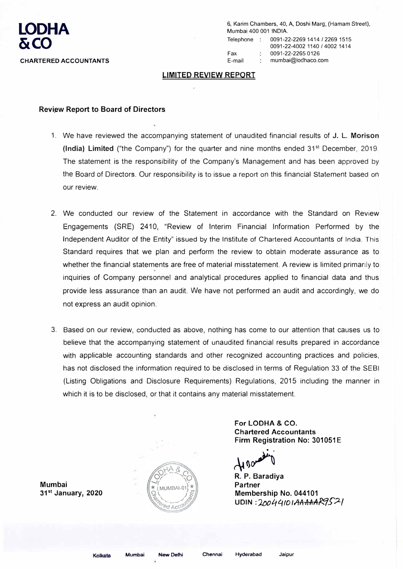

6, Karim Chambers, 40, A, Doshi Marg, (Hamam Street), Mumbai 400 001 INDIA.

Telephone : 0091-22-2269 1414 / 2269 1515 0091-22-4002 1140 / 4002 1414 Fax 0091-22-2265 0126 E-mail mumbai@lodhaco.com

## **LIMITED REVIEW REPORT**

## **Review Report to Board of Directors**

- 1. We have reviewed the accompanying �tatement of unaudited financial results of **J. L. Morison (India) Limited** ("the Company") for the quarter and nine months ended 31<sup>st</sup> December, 2019. The statement is the responsibility of the Company's Management and has been approved by the Board of Directors. Our responsibility is to issue a report on this financial Statement based on our review.
- 2. We conducted our review of the Statement in accordance with the Standard on Review Engagements (SRE) 2410, "Review of Interim Financial Information Performed by the Independent Auditor of the Entity" issued by the Institute of Chartered Accountants of India. This Standard requires that we plan and perform the review to obtain moderate assurance as to whether the financial statements are free of material misstatement. A review is limited primarily to inquiries of Company personnel and analytical procedures applied to financial data and thus provide less assurance than an audit. We have not performed an audit and accordingly, we do not express an audit opinion.
- 3. Based on our review, conducted as above, nothing has come to our attention that causes us to believe that the accompanying statement of unaudited financial results prepared in accordance with applicable accounting standards and other recognized accounting practices and policies, has not disclosed the information required to be disclosed in terms of Regulation 33 of the SEBI (Listing Obligations and Disclosure Requirements) Regulations, 2015 including the manner in which it is to be disclosed, or that it contains any material misstatement.

**For LODHA & CO. Chartered Accountants Firm Registration No: 301051E** 

�()A **R. P. Baradiya** 

**Partner Membership No. 044101 U DIN : 'J.t>o '-f** *4 IO f* **,4A -A-A-A** *f...1.f'?--/* 

**Mumbai 31 st January, 2020** 



**Hyderabad Jaipur**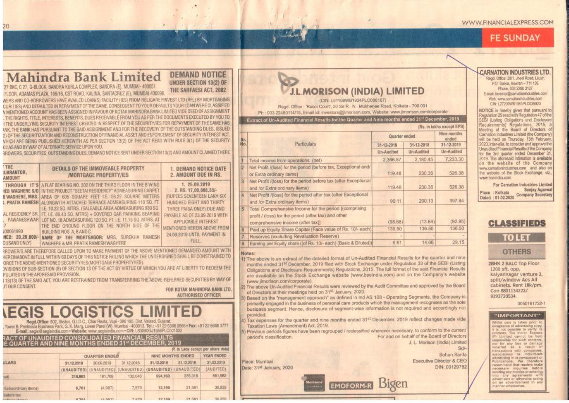# **FE SUNDAY**

# **Mahindra Bank Limited**

#### **DEMAND NOTICE** UNDER SECTION 13(2) OF THE SARFAESI ACT. 2002

27 BKC, C 27, G-BLOCK, BANDRA KURLA COMPLEX, BANDRA (E), MUMBAI- 400051 FLOOR, ADAMAS PLAZA, 166/16, CST ROAD, KALINA, SANTACRUZ (E), MUMBAI 400098

20

WERS AND CO-BORROWERS HAVE AVAILED LOAN(S) FACILITY (IES) FROM RELIGARE FINVEST LTD (RFL) BY MORTGAGING CURITIES) AND DEFAULTED IN REPAYMENT OF THE SAME, CONSEQUENT TO YOUR DEFAULTS YOUR LOAN WERE CLASSIFIED V MENTIONED ACCOUNT HAS BEEN ASSIGNED IN FAVOUR OF KOTAK MAHINDRA BANK LIMITED VIDE DEED OF ASSIGNMENT THE RIGHTS, TITLE, INTERESTS, BENEFITS, DUES RECEIVABLE FROM YOU AS PER THE DOCUMENTS EXECUTED BY YOU TO I THE UNDERLYING SECURITY INTEREST CREATED IN RESPECT OF THE SECURITY/IES FOR REPAYMENT OF THE SAME HAS VAK. THE BANK HAS PURSUANT TO THE SAID ASSIGNMENT AND FOR THE RECOVERY OF THE OUTSTANDING DUES. ISSUED 2) OF THE SECURITIZATION AND RECONSTRUCTION OF FINANCIAL ASSET AND ENFORCEMENT OF SECURITY INTEREST ACT. WHICH ARE BEING PUBLISHED HEREWITH AS PER SECTION 13(2) OF THE ACT READ WITH RULE 3(1) OF THE SECURITY 02 AS AND BY WAY OF ALTERNATE SERVICE UPON YOU.

RROWERS, SECURITIES, OUTSTANDING DUES, DEMAND NOTICE SENT UNDER SECTION 13(2) AND AMOUNT CLAIMED THERE

| <b>THE</b><br>IUARANTOR,<br><b>AMOUNT</b>            | DETAILS OF THE IMMOVEABLE PROPERTY<br><b>MORTGAGE PROPERTY/IES</b>                                                                                                                                                                                                                                                                                                                                                                                                                                                                                                                                                                                                               | <b>1. DEMAND NOTICE DATE</b><br>2. AMOUNT DUE IN RS.                                                                                                                                                                                                                |
|------------------------------------------------------|----------------------------------------------------------------------------------------------------------------------------------------------------------------------------------------------------------------------------------------------------------------------------------------------------------------------------------------------------------------------------------------------------------------------------------------------------------------------------------------------------------------------------------------------------------------------------------------------------------------------------------------------------------------------------------|---------------------------------------------------------------------------------------------------------------------------------------------------------------------------------------------------------------------------------------------------------------------|
| 000061990<br>NED: 20,20,000/-<br><b>OUSAND ONLY)</b> | THROUGH IT'S A FLAT BEARING NO. 302 ON THE THIRD FLOOR IN THE B WING<br><b>IEB WAGHERE S/O   IN THE PROJECT "SEETAI RESIDENCY" ADMEASURING CARPET</b><br>B WAGHERE, MRS. AREA OF 605 SOUARE FEET LE. 56.22 SOUARE METERS<br>I. PRATIK RAMESH ALONGWITH ATTACHED TERRACE ADMEASURING 110 SQ. FT.<br>I.E. 10.22 SQ. MTRS. (SALEABLE AREA ADMEASURING 930 SQ.<br>AL RESIDENCY SR. FT LE. 86.43 SQ. MTRS) + COVERED CAR PARKING BEARING<br>PAWANESHWAR   LOT NO. 18 ADMEASURING 120 SQ. FT. LE. 11.15 SQ. MTRS. AT<br>THE END GROUND FLOOR ON THE NORTH SIDE OF THE<br>BUILDING NOS. A. BAND C.<br>NAME OF THE MORTGAGOR: MRS. SUREKHA RAMESH<br>WAGHERE & MR. PRATIK RAMESH WAGHERE | 1. 25.09.2019<br>2. RS. 17.00.608.33/-<br>(RUPEES SEVENTEEN LAKH SIX<br>HUNDRED EIGHT AND THIRTY<br>THREE PAISA ONLY) DUE AND<br>PAYABLE AS OF 23.09.2019 WITH<br><b>APPLICABLE INTEREST</b><br>MENTIONED HEREIN ABOVE FROM<br>24.09.2019 UNTIL PAYMENT IN<br>FULL. |
| JT OUR CONSENT.                                      | RROWER/S ARE THEREFORE CALLED UPON TO MAKE PAYMENT OF THE ABOVE MENTIONED DEMANDED AMOUNT WITH<br>HEREINABOVE IN FULL WITHIN 60 DAYS OF THIS NOTICE FAILING WHICH THE UNDERSIGNED SHALL BE CONSTRAINED TO<br>ORCE THE ABOVE-MENTIONED SECURITY/IES(MORTGAGE PROPERTY/IES).<br>JVISIONS OF SUB-SECTION (8) OF SECTION 13 OF THE ACT BY VIRTUE OF WHICH YOU ARE AT LIBERTY TO REDEEM THE<br>PULATED IN THE AFORESAID PROVISION.<br>I 13(13) OF THE SAID ACT, YOU ARE RESTRAINED FROM TRANSFERRING THE ABOVE-REFERRED SECURITIES BY WAY OF                                                                                                                                          | FOR KOTAK MAHINDRA BANK LTD.<br><b>AUTHORISED OFFICER</b>                                                                                                                                                                                                           |

Regd.Office: 502, Skylon, G.I.D.C., Char Rasta, Vapi - 396 195, Dist, Valsad, Guiarat, Tower B, Peninsula Business Park, G. K. Marg, Lower Parel (W), Mumbai - 400013. Tel.: +91 22 6666 3666 + Fax: +91 22 6666 3777

**RACT OF UNAUDITED CONSOLIDATED FINANCIAL RESULTS** FOUARTER AND NINE MONTHS ENDED 31\* DECEMBER, 201

| (₹ in Lacs except per share data) |                               |                               |                         |                           |                   |                   |  |  |
|-----------------------------------|-------------------------------|-------------------------------|-------------------------|---------------------------|-------------------|-------------------|--|--|
|                                   |                               | QUARTER ENDED                 |                         |                           | NINE MONTHS ENDED | <b>YEAR ENDED</b> |  |  |
| <b>ULARS</b>                      | 31,12,2019                    | 30.09.2019                    | 31.12.2018              | 31,12,2019                | 31.12.2018        | 31,03,2019        |  |  |
|                                   | (UNAUDITED)                   |                               | (UNAUDITED) (UNAUDITED) | (UNAUDITED)               | (UNAUDITED)       | (AUDITED)         |  |  |
| (feet)                            | 216,863                       | 181,769                       | 132,046                 | 594,160                   | 376,318           | 561,582           |  |  |
| Extraordinary Items)              | 8,761                         | (4.987)                       | 7,579                   | 12,159                    | 21,581            | 30,233            |  |  |
| berfore tax.                      | the control of the control of | the project of the project of | the permanent           | contact and substitution. | <b>ALCOHOL</b>    | <b>BAY-BAYL</b>   |  |  |

## **J.L.MORISON (INDIA) LIMITED** (CIN: L51109WB1934PLC088167)

Regd. Office: 'Rasoi Court', 20 Sir R. N. Mukherjee Road, Kolkata - 700 001 Ph · 033 22480114/15. Email kt: investors@ilmorison.com, Website: www.jimorison.com/corporate

Extract of Un-Audited Financial Results for the Quarter and Nine months ended 31<sup>st</sup> December, 2019

|            | (Rs. in lakhs except EPS)                                                                                                                           |               |                       |            |  |  |  |
|------------|-----------------------------------------------------------------------------------------------------------------------------------------------------|---------------|-----------------------|------------|--|--|--|
| Sr.<br>No. |                                                                                                                                                     | Quarter ended | Nine months<br>eitded |            |  |  |  |
|            | <b>Particulars</b>                                                                                                                                  | 31-12-2019    | 31-12-2018            | 31-12-2019 |  |  |  |
|            |                                                                                                                                                     | Un-Audited    | Un-Audited            | Un-Audited |  |  |  |
|            | Total income from operations (net)                                                                                                                  | 2,366.87      | 2,180.45              | 7,233.30   |  |  |  |
| 2          | Net Profit /(loss) for the period (before tax, Exceptional and/<br>or Extra ordinary items)                                                         | 119.48        | 230.36                | 526.38     |  |  |  |
| 3          | Net Profit /(loss) for the period before tax (after Exceptional<br>and /or Extra ordinary items)                                                    | 119,48        | 230.36                | 526.38     |  |  |  |
| A.         | Net Profit /(loss) for the period after tax (after Exceptional<br>and /or Extra ordinary items).                                                    | 90.11         | 200.13                | 397.84     |  |  |  |
| 6          | Total Comprehensive Income for the period [(comprising<br>profit / (loss) for the period (after tax) and other<br>comprehensive income (after tax)] | (98.68)       | (13.64)               | (92.85)    |  |  |  |
| 6          | Paid up Equity Share Capital (Face value of Rs. 10/- each)                                                                                          | 136.50        | 136.50                | 136.50     |  |  |  |
|            | Reserves (excluding Revaluation Reserve)                                                                                                            |               |                       |            |  |  |  |
| B          | Earning per Equity share ((of Rs. 10/- each) (Basic & Diluted))                                                                                     | 6.61          | 14.66                 | 29.15      |  |  |  |

#### Votes:

- 1) The above is an extract of the detailed format of Un-Audited Financial Results for the quarter and nine months ended 31<sup>st</sup> December, 2019 filed with Stock Exchange under Regulation 33 of the SEBI (Listing Obligations and Disclosure Requirements) Requistions, 2015. The full format of the said Financial Results are availaible on the Stock Exchange website (www.bseindia.com) and on the Company's website (www.jimorison.com/corporate)
- The above Un-Audited Financial Results were reviewed by the Audit Committee and approved by the Board of Directors at their meetings held on 31st January, 2020.
- Based on the "management approach" as defined in Ind AS 108 Operating Segments, the Company is primarily engaged in the business of personal care products which the management recognises as the sole business segment. Hence, disclosure of segment-wise information is not regulred and accordingly not provided.
- 4) Tax expenses for the quarter and nine months ended 31<sup>st</sup> December, 2019 reflect changes made vide Taxation Laws (Amendment) Act, 2019
- 5) Previous periods figures have been regrouped / reclassified wherever necessary, to conform to the current For and on behalf of the Board of Directors period's classification. J. L. Morison (India) Limited

**EMOFORM-R Bigen** 

Place: Mumbai Date: 31<sup>st</sup> January, 2020 **CARNATION INDUSTRIES LTD** Read, Office: 28/1. Jheel Road, Liluah. P.O. Salkia, Howrah - 711 106 Phone: 033 2280 3127 E-mail: investor@camationindustries.com Web: www.camationindustries.com

CIN: L27209WB1983PLC035920

NOTICE is hereby given that pursuant to Regulation 29 read with Regulation 47 of the SEBI (Listing Obligations and Disclosure Requirements) Regulations, 2015, a Meeting of the Board of Directors of Carnation Industries Limited (the Company) will be held on Thursday, 13th February 2020, inter-alia, to consider and approve the Unaudited Financial Results of the Company for the 3rd quarter ended December 31 2019. The aforesaid intimation is available. on the website of the Company www.camationindustries.com and also on the website of the Stock Exchange, viz., www.bseindia.com.

For Carnation Industries Limited Sanjay Agarwal Dated : 01.02.2020 Company Secretary

## **CLASSIFIEDS**

TO LET

**OTHERS** 

2BHK 2 BALC Top Floor 1200 sft. opp. kalvannagar venture 3. split/window Acs All cabinets. Rent 18k/pm. Con 8801134222/ 9293720534

0050161732-1

#### "IMPORTANT"

White! care is taken prior to acceptance of advertising copy t is not possible to verify its (F) Limited connot be held responsible for such contents. nor for any loss or damage incurred as a result of associations or individuals<br>advertising in its newspapers or<br>Publications, We therefore recommend that readers make ending any monies or entering into any agreements with on an advertisement in am **NUMBER SERVICES** 

Sd/

Sohan Sarda

DIN: 00129782

**Executive Director & CEO**